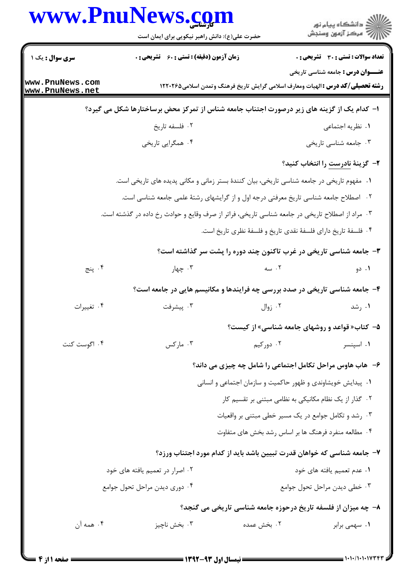## www.PnuNews.com

|                                                                         | www.PnuNews.com<br>حضرت علی(ع): دانش راهبر نیکویی برای ایمان است                                 | ڪ دانشڪاه پيا <sub>م</sub> نور<br>۾ سرڪز آزمون وسنڊش                                                                                |  |  |
|-------------------------------------------------------------------------|--------------------------------------------------------------------------------------------------|-------------------------------------------------------------------------------------------------------------------------------------|--|--|
| <b>سری سوال :</b> یک ۱                                                  | <b>زمان آزمون (دقیقه) : تستی : 60 ٪ تشریحی : 0</b>                                               | <b>تعداد سوالات : تستی : 30 ٪ تشریحی : 0</b>                                                                                        |  |  |
| ww.PnuNews.com<br>ww.PnuNews.net                                        |                                                                                                  | <b>عنــــوان درس :</b> جامعه شناسی تاریخی<br><b>رشته تحصیلی/کد درس :</b> الهیات ومعارف اسلامی گرایش تاریخ فرهنگ وتمدن اسلامی1۲۲۰۲۶۵ |  |  |
|                                                                         | ۱– کدام یک از گزینه های زیر درصورت اجتناب جامعه شناس از تمرکز محض برساختارها شکل می گیرد؟        |                                                                                                                                     |  |  |
|                                                                         | ۰۲ فلسفه تاریخ                                                                                   | ٠١ نظريه اجتماعي                                                                                                                    |  |  |
|                                                                         | ۰۴ همگرایی تاریخی                                                                                | ۰۳ جامعه شناسی تاریخی                                                                                                               |  |  |
|                                                                         |                                                                                                  | <b>۲</b> – گزینهٔ <mark>نادرست</mark> را انتخاب کنید؟                                                                               |  |  |
|                                                                         | ۰۱ مفهوم تاریخی در جامعه شناسی تاریخی، بیان کنندهٔ بستر زمانی و مکانی پدیده های تاریخی است.      |                                                                                                                                     |  |  |
|                                                                         | ۰۲ اصطلاح جامعه شناسی تاریخ معرفتی درجه اول و از گرایشهای رشتهٔ علمی جامعه شناسی است.            |                                                                                                                                     |  |  |
|                                                                         | ۰۳ مراد از اصطلاح تاریخی در جامعه شناسی تاریخی، فراتر از صرف وقایع و حوادث رخ داده در گذشته است. |                                                                                                                                     |  |  |
|                                                                         |                                                                                                  | ۰۴ فلسفهٔ تاریخ دارای فلسفهٔ نقدی تاریخ و فلسفهٔ نظری تاریخ است.                                                                    |  |  |
|                                                                         |                                                                                                  | ۳- جامعه شناسی تاریخی در غرب تاکنون چند دوره را پشت سر گذاشته است؟                                                                  |  |  |
| ۰۴ پنج                                                                  | ۰۳ چهار                                                                                          | $\sim$ ۰۲<br>۰۱ دو                                                                                                                  |  |  |
|                                                                         | ۴- جامعه شناسی تاریخی در صدد بررسی چه فرایندها و مکانیسم هایی در جامعه است؟                      |                                                                                                                                     |  |  |
| ۰۴ تغييرات                                                              | ۰۳ پیشرفت                                                                                        | ۰۲ زوال<br>۰۱ رشد                                                                                                                   |  |  |
|                                                                         |                                                                                                  | ۵- کتاب« قواعد و روشهای جامعه شناسی» از کیست؟                                                                                       |  |  |
| ۰۴ اگوست کنت                                                            | ۰۳ مارکس                                                                                         | ۰۲ دورکیم<br>۰۱ اسپنسر                                                                                                              |  |  |
|                                                                         |                                                                                                  | ۶- هاب هاوس مراحل تکامل اجتماعی را شامل چه چیزی می داند؟                                                                            |  |  |
|                                                                         |                                                                                                  | ۰۱ پیدایش خویشاوندی و ظهور حاکمیت و سازمان اجتماعی و انسانی                                                                         |  |  |
|                                                                         |                                                                                                  | ۰۲ گذار از یک نظام مکانیکی به نظامی مبتنی بر تقسیم کار                                                                              |  |  |
|                                                                         |                                                                                                  | ۰۳ رشد و تکامل جوامع در یک مسیر خطی مبتنی بر واقعیات                                                                                |  |  |
|                                                                         |                                                                                                  | ۰۴ مطالعه منفرد فرهنگ ها بر اساس رشد بخش های متفاوت                                                                                 |  |  |
| ۷– جامعه شناسی که خواهان قدرت تبیین باشد باید از کدام مورد اجتناب ورزد؟ |                                                                                                  |                                                                                                                                     |  |  |
|                                                                         | ۰۲ اصرار در تعمیم یافته های خود                                                                  | ٠١ عدم تعميم يافته هاى خود                                                                                                          |  |  |
|                                                                         | ۰۴ دوري ديدن مراحل تحول جوامع                                                                    | ۰۳ خطی دیدن مراحل تحول جوامع                                                                                                        |  |  |
|                                                                         |                                                                                                  | ۸– چه میزان از فلسفه تاریخ درحوزه جامعه شناسی تاریخی می گنجد؟                                                                       |  |  |
| ۰۴ همه آن                                                               | ۰۲ بخش عمده<br>۰۳ بخش ناچيز                                                                      | ۰۱ سهمی برابر                                                                                                                       |  |  |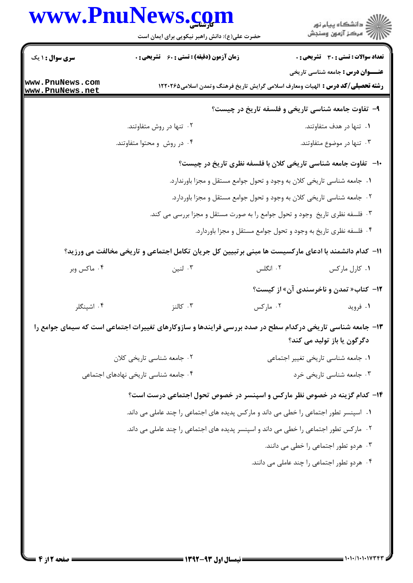## **WWW PnuNews com**

| زمان آزمون (دقیقه) : تستی : 60 ٪ تشریحی : 0<br><b>سری سوال : ۱ یک</b><br><b>عنـــوان درس :</b> جامعه شناسی تاریخی<br>www.PnuNews.com<br><b>رشته تحصیلی/کد درس :</b> الهیات ومعارف اسلامی گرایش تاریخ فرهنگ وتمدن اسلامی۱۲۲۰۲۶۵<br>www.PnuNews.net<br>۹- تفاوت جامعه شناسی تاریخی و فلسفه تاریخ در چیست؟<br>۰۲ تنها در روش متفاوتند.<br>۰۱ تنها در هدف متفاوتند.<br>۰۳ تنها در موضوع متفاوتند.<br>۰۴ در روش و محتوا متفاوتند.<br><b>۱۰</b> - تفاوت جامعه شناسی تاریخی کلان با فلسفه نظری تاریخ در چیست؟<br>۱. جامعه شناسی تاریخی کلان به وجود و تحول جوامع مستقل و مجزا باورندارد.<br>۰۲ جامعه شناسی تاریخی کلان به وجود و تحول جوامع مستقل و مجزا باوردارد.<br>۰۳ فلسفه نظری تاریخ وجود و تحول جوامع را به صورت مستقل و مجزا بررسی می کند.<br>۰۴ فلسفه نظری تاریخ به وجود و تحول جوامع مستقل و مجزا باوردارد.<br>11- كدام دانشمند با ادعاى ماركسيست ها مبنى برتبيين كل جريان تكامل اجتماعى و تاريخى مخالفت مى ورزيد؟<br>۰۳ لنین<br>۰۲ انگلس<br>۰۱ کارل مارکس<br>۰۴ ماکس وبر<br><b>۱۲</b> - کتاب« تمدن و ناخرسندی آن» از کیست؟<br>۰۴ اشپنگلر<br>۰۳ کالنز<br>۰۲ مارکس<br>۰۱ فروید<br>۱۳- جامعه شناسی تاریخی درکدام سطح در صدد بررسی فرایندها و سازوکارهای تغییرات اجتماعی است که سیمای جوامع را<br>دگرگون یا باز تولید می کند؟<br>٠١ جامعه شناسي تاريخي تغيير اجتماعي<br>۰۲ جامعه شناسی تاریخی کلان<br>۰۳ جامعه شناسی تاریخی خرد<br>۰۴ جامعه شناسی تاریخی نهادهای اجتماعی<br>۱۴– کدام گزینه در خصوص نظر مارکس و اسپنسر در خصوص تحول اجتماعی درست است؟<br>۰۱ اسپنسر تطور اجتماعی را خطی می داند و مارکس پدیده های اجتماعی را چند عاملی می داند.<br>۰۲ مارکس تطور اجتماعی را خطی می داند و اسپنسر پدیده های اجتماعی را چند عاملی می داند.<br>۰۳ هردو تطور اجتماعی را خطی می دانند.<br>۰۴ هردو تطور اجتماعی را چند عاملی می دانند. |  | www.PnuNews.com<br>حضرت علی(ع): دانش راهبر نیکویی برای ایمان است |  | ڪ دانشڪاه پيام نور<br>//> مرڪز آزمون وسنڊش |  |
|-------------------------------------------------------------------------------------------------------------------------------------------------------------------------------------------------------------------------------------------------------------------------------------------------------------------------------------------------------------------------------------------------------------------------------------------------------------------------------------------------------------------------------------------------------------------------------------------------------------------------------------------------------------------------------------------------------------------------------------------------------------------------------------------------------------------------------------------------------------------------------------------------------------------------------------------------------------------------------------------------------------------------------------------------------------------------------------------------------------------------------------------------------------------------------------------------------------------------------------------------------------------------------------------------------------------------------------------------------------------------------------------------------------------------------------------------------------------------------------------------------------------------------------------------------------------------------------------------------------------------------------------------------------------------------------------------------------------------------|--|------------------------------------------------------------------|--|--------------------------------------------|--|
|                                                                                                                                                                                                                                                                                                                                                                                                                                                                                                                                                                                                                                                                                                                                                                                                                                                                                                                                                                                                                                                                                                                                                                                                                                                                                                                                                                                                                                                                                                                                                                                                                                                                                                                               |  |                                                                  |  | تعداد سوالات : تستي : 30 - تشريحي : 0      |  |
|                                                                                                                                                                                                                                                                                                                                                                                                                                                                                                                                                                                                                                                                                                                                                                                                                                                                                                                                                                                                                                                                                                                                                                                                                                                                                                                                                                                                                                                                                                                                                                                                                                                                                                                               |  |                                                                  |  |                                            |  |
|                                                                                                                                                                                                                                                                                                                                                                                                                                                                                                                                                                                                                                                                                                                                                                                                                                                                                                                                                                                                                                                                                                                                                                                                                                                                                                                                                                                                                                                                                                                                                                                                                                                                                                                               |  |                                                                  |  |                                            |  |
|                                                                                                                                                                                                                                                                                                                                                                                                                                                                                                                                                                                                                                                                                                                                                                                                                                                                                                                                                                                                                                                                                                                                                                                                                                                                                                                                                                                                                                                                                                                                                                                                                                                                                                                               |  |                                                                  |  |                                            |  |
|                                                                                                                                                                                                                                                                                                                                                                                                                                                                                                                                                                                                                                                                                                                                                                                                                                                                                                                                                                                                                                                                                                                                                                                                                                                                                                                                                                                                                                                                                                                                                                                                                                                                                                                               |  |                                                                  |  |                                            |  |
|                                                                                                                                                                                                                                                                                                                                                                                                                                                                                                                                                                                                                                                                                                                                                                                                                                                                                                                                                                                                                                                                                                                                                                                                                                                                                                                                                                                                                                                                                                                                                                                                                                                                                                                               |  |                                                                  |  |                                            |  |
|                                                                                                                                                                                                                                                                                                                                                                                                                                                                                                                                                                                                                                                                                                                                                                                                                                                                                                                                                                                                                                                                                                                                                                                                                                                                                                                                                                                                                                                                                                                                                                                                                                                                                                                               |  |                                                                  |  |                                            |  |
|                                                                                                                                                                                                                                                                                                                                                                                                                                                                                                                                                                                                                                                                                                                                                                                                                                                                                                                                                                                                                                                                                                                                                                                                                                                                                                                                                                                                                                                                                                                                                                                                                                                                                                                               |  |                                                                  |  |                                            |  |
|                                                                                                                                                                                                                                                                                                                                                                                                                                                                                                                                                                                                                                                                                                                                                                                                                                                                                                                                                                                                                                                                                                                                                                                                                                                                                                                                                                                                                                                                                                                                                                                                                                                                                                                               |  |                                                                  |  |                                            |  |
|                                                                                                                                                                                                                                                                                                                                                                                                                                                                                                                                                                                                                                                                                                                                                                                                                                                                                                                                                                                                                                                                                                                                                                                                                                                                                                                                                                                                                                                                                                                                                                                                                                                                                                                               |  |                                                                  |  |                                            |  |
|                                                                                                                                                                                                                                                                                                                                                                                                                                                                                                                                                                                                                                                                                                                                                                                                                                                                                                                                                                                                                                                                                                                                                                                                                                                                                                                                                                                                                                                                                                                                                                                                                                                                                                                               |  |                                                                  |  |                                            |  |
|                                                                                                                                                                                                                                                                                                                                                                                                                                                                                                                                                                                                                                                                                                                                                                                                                                                                                                                                                                                                                                                                                                                                                                                                                                                                                                                                                                                                                                                                                                                                                                                                                                                                                                                               |  |                                                                  |  |                                            |  |
|                                                                                                                                                                                                                                                                                                                                                                                                                                                                                                                                                                                                                                                                                                                                                                                                                                                                                                                                                                                                                                                                                                                                                                                                                                                                                                                                                                                                                                                                                                                                                                                                                                                                                                                               |  |                                                                  |  |                                            |  |
|                                                                                                                                                                                                                                                                                                                                                                                                                                                                                                                                                                                                                                                                                                                                                                                                                                                                                                                                                                                                                                                                                                                                                                                                                                                                                                                                                                                                                                                                                                                                                                                                                                                                                                                               |  |                                                                  |  |                                            |  |
|                                                                                                                                                                                                                                                                                                                                                                                                                                                                                                                                                                                                                                                                                                                                                                                                                                                                                                                                                                                                                                                                                                                                                                                                                                                                                                                                                                                                                                                                                                                                                                                                                                                                                                                               |  |                                                                  |  |                                            |  |
|                                                                                                                                                                                                                                                                                                                                                                                                                                                                                                                                                                                                                                                                                                                                                                                                                                                                                                                                                                                                                                                                                                                                                                                                                                                                                                                                                                                                                                                                                                                                                                                                                                                                                                                               |  |                                                                  |  |                                            |  |
|                                                                                                                                                                                                                                                                                                                                                                                                                                                                                                                                                                                                                                                                                                                                                                                                                                                                                                                                                                                                                                                                                                                                                                                                                                                                                                                                                                                                                                                                                                                                                                                                                                                                                                                               |  |                                                                  |  |                                            |  |
|                                                                                                                                                                                                                                                                                                                                                                                                                                                                                                                                                                                                                                                                                                                                                                                                                                                                                                                                                                                                                                                                                                                                                                                                                                                                                                                                                                                                                                                                                                                                                                                                                                                                                                                               |  |                                                                  |  |                                            |  |
|                                                                                                                                                                                                                                                                                                                                                                                                                                                                                                                                                                                                                                                                                                                                                                                                                                                                                                                                                                                                                                                                                                                                                                                                                                                                                                                                                                                                                                                                                                                                                                                                                                                                                                                               |  |                                                                  |  |                                            |  |
|                                                                                                                                                                                                                                                                                                                                                                                                                                                                                                                                                                                                                                                                                                                                                                                                                                                                                                                                                                                                                                                                                                                                                                                                                                                                                                                                                                                                                                                                                                                                                                                                                                                                                                                               |  |                                                                  |  |                                            |  |
|                                                                                                                                                                                                                                                                                                                                                                                                                                                                                                                                                                                                                                                                                                                                                                                                                                                                                                                                                                                                                                                                                                                                                                                                                                                                                                                                                                                                                                                                                                                                                                                                                                                                                                                               |  |                                                                  |  |                                            |  |
|                                                                                                                                                                                                                                                                                                                                                                                                                                                                                                                                                                                                                                                                                                                                                                                                                                                                                                                                                                                                                                                                                                                                                                                                                                                                                                                                                                                                                                                                                                                                                                                                                                                                                                                               |  |                                                                  |  |                                            |  |
|                                                                                                                                                                                                                                                                                                                                                                                                                                                                                                                                                                                                                                                                                                                                                                                                                                                                                                                                                                                                                                                                                                                                                                                                                                                                                                                                                                                                                                                                                                                                                                                                                                                                                                                               |  |                                                                  |  |                                            |  |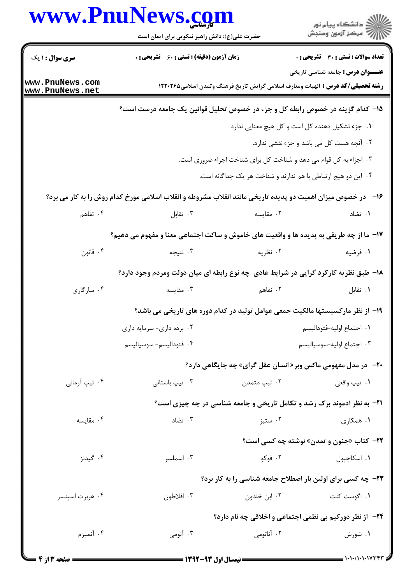|                                    | www.PnuNews.com                                                                                             |                                                                   | انشڪاه پيام نور<br>اڳ مرڪز آزمون وسنڊش                                                                                             |
|------------------------------------|-------------------------------------------------------------------------------------------------------------|-------------------------------------------------------------------|------------------------------------------------------------------------------------------------------------------------------------|
|                                    | حضرت علی(ع): دانش راهبر نیکویی برای ایمان است                                                               |                                                                   |                                                                                                                                    |
| <b>سری سوال : ۱ یک</b>             | زمان آزمون (دقیقه) : تستی : 60 ٪ تشریحی : 0                                                                 |                                                                   | <b>تعداد سوالات : تستی : 30 ٪ تشریحی : 0</b>                                                                                       |
| www.PnuNews.com<br>www.PnuNews.net |                                                                                                             |                                                                   | <b>عنـــوان درس :</b> جامعه شناسی تاریخی<br><b>رشته تحصیلی/کد درس :</b> الهیات ومعارف اسلامی گرایش تاریخ فرهنگ وتمدن اسلامی۱۲۲۰۲۶۵ |
|                                    | ۱۵– کدام گزینه در خصوص رابطه کل و جزء در خصوص تحلیل قوانین یک جامعه درست است؟                               |                                                                   |                                                                                                                                    |
|                                    |                                                                                                             |                                                                   | ۰۱ جزء تشکیل دهنده کل است و کل هیچ معنایی ندارد.                                                                                   |
|                                    |                                                                                                             |                                                                   | ٠٢ آنچه هست كل مى باشد و جزء نقشى ندارد.                                                                                           |
|                                    |                                                                                                             | ۰۳ اجزاء به کل قوام می دهد و شناخت کل برای شناخت اجزاء ضروری است. |                                                                                                                                    |
|                                    |                                                                                                             | ۰۴ این دو هیچ ارتباطی با هم ندارند و شناخت هر یک جداگانه است.     |                                                                                                                                    |
|                                    | ۱۶- در خصوص میزان اهمیت دو پدیده تاریخی مانند انقلاب مشروطه و انقلاب اسلامی مورخ کدام روش را به کار می برد؟ |                                                                   |                                                                                                                                    |
| ۰۴ تفاهم                           | ۰۳ تقابل                                                                                                    | ۰۲ مقایسه                                                         | ۰۱ تضاد                                                                                                                            |
|                                    | ۱۷- ما از چه طریقی به پدیده ها و واقعیت های خاموش و ساکت اجتماعی معنا و مفهوم می دهیم؟                      |                                                                   |                                                                                                                                    |
| ۰۴ قانون                           | ۰۳ نتيجه                                                                                                    | ۰۲ نظریه                                                          | ۰۱ فرضیه                                                                                                                           |
|                                    | 18- طبق نظریه کارکرد گرایی در شرایط عادی چه نوع رابطه ای میان دولت ومردم وجود دارد؟                         |                                                                   |                                                                                                                                    |
| ۰۴ سازگاری                         | ۰۳ مقايسه                                                                                                   | ۲. نفاهم                                                          | ۰۱ تقابل                                                                                                                           |
|                                    |                                                                                                             |                                                                   | ۱۹– از نظر مارکسیستها مالکیت جمعی عوامل تولید در کدام دوره های تاریخی می باشد؟                                                     |
|                                    | ۰۲ برده داری- سرمایه داری                                                                                   |                                                                   | ٠١. اجتماع اوليه-فئوداليسم                                                                                                         |
|                                    | ۰۴ فئوداليسم- سوسياليسم                                                                                     |                                                                   | ٠٣ اجتماع اوليه-سوسياليسم                                                                                                          |
|                                    |                                                                                                             |                                                                   | <b>۲۰</b> - در مدل مفهومی ماکس وبر« انسان عقل گرای» چه جایگاهی دارد؟                                                               |
| ۰۴ تيپ آرماني                      | ۰۳ تیپ باستانی                                                                                              | ۰۲ تيپ متمدن                                                      | ۰۱ تيپ واقعي                                                                                                                       |
|                                    |                                                                                                             |                                                                   | <b>۲۱</b> - به نظر ادموند برک رشد و تکامل تاریخی و جامعه شناسی در چه چیزی است؟                                                     |
| ۰۴ مقايسه                          | ۰۳ تضاد                                                                                                     | ۰۲ ستيز                                                           | ۰۱ همکاری                                                                                                                          |
|                                    |                                                                                                             |                                                                   | <b>۲۲</b> - کتاب «جنون و تمدن» نوشته چه کسی است؟                                                                                   |
| ۰۴ گیدنز                           | ۰۳ اسملسر                                                                                                   | ۰۲ فوکو                                                           | ۰۱ اسکاچپول                                                                                                                        |
|                                    | ۲۳- چه کسی برای اولین بار اصطلاح جامعه شناسی را به کار برد؟                                                 |                                                                   |                                                                                                                                    |
| ۰۴ هربرت اسپنسر                    | ۰۳ افلاطون                                                                                                  | ۰۲ ابن خلدون                                                      | ۰۱ اگوست کنت                                                                                                                       |
|                                    |                                                                                                             |                                                                   | <b>34- از نظر دورکیم بی نظمی اجتماعی و اخلاقی چه نام دارد؟</b>                                                                     |
| ۰۴ آنمیزم                          | ۰۳ آنومی                                                                                                    | ۰۲ آناتومی                                                        | ۰۱ شورش                                                                                                                            |
|                                    |                                                                                                             |                                                                   |                                                                                                                                    |